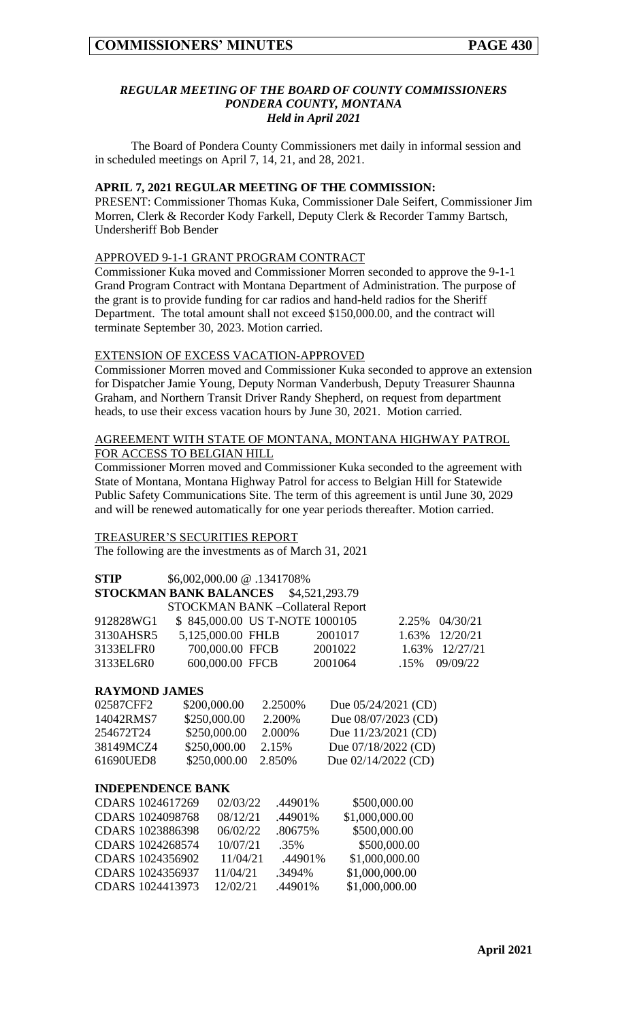### *REGULAR MEETING OF THE BOARD OF COUNTY COMMISSIONERS PONDERA COUNTY, MONTANA Held in April 2021*

The Board of Pondera County Commissioners met daily in informal session and in scheduled meetings on April 7, 14, 21, and 28, 2021.

## **APRIL 7, 2021 REGULAR MEETING OF THE COMMISSION:**

PRESENT: Commissioner Thomas Kuka, Commissioner Dale Seifert, Commissioner Jim Morren, Clerk & Recorder Kody Farkell, Deputy Clerk & Recorder Tammy Bartsch, Undersheriff Bob Bender

### APPROVED 9-1-1 GRANT PROGRAM CONTRACT

Commissioner Kuka moved and Commissioner Morren seconded to approve the 9-1-1 Grand Program Contract with Montana Department of Administration. The purpose of the grant is to provide funding for car radios and hand-held radios for the Sheriff Department. The total amount shall not exceed \$150,000.00, and the contract will terminate September 30, 2023. Motion carried.

#### EXTENSION OF EXCESS VACATION-APPROVED

Commissioner Morren moved and Commissioner Kuka seconded to approve an extension for Dispatcher Jamie Young, Deputy Norman Vanderbush, Deputy Treasurer Shaunna Graham, and Northern Transit Driver Randy Shepherd, on request from department heads, to use their excess vacation hours by June 30, 2021. Motion carried.

### AGREEMENT WITH STATE OF MONTANA, MONTANA HIGHWAY PATROL FOR ACCESS TO BELGIAN HILL

Commissioner Morren moved and Commissioner Kuka seconded to the agreement with State of Montana, Montana Highway Patrol for access to Belgian Hill for Statewide Public Safety Communications Site. The term of this agreement is until June 30, 2029 and will be renewed automatically for one year periods thereafter. Motion carried.

### TREASURER'S SECURITIES REPORT

The following are the investments as of March 31, 2021

| <b>STIP</b>                              | \$6,002,000.00 @ .1341708%<br><b>STOCKMAN BANK BALANCES</b> \$4,521,293.79 |  |                                |         |                |
|------------------------------------------|----------------------------------------------------------------------------|--|--------------------------------|---------|----------------|
| <b>STOCKMAN BANK - Collateral Report</b> |                                                                            |  |                                |         |                |
| 912828WG1                                |                                                                            |  | \$845,000.00 US T-NOTE 1000105 |         | 2.25% 04/30/21 |
| 3130AHSR5                                | 5,125,000.00 FHLB                                                          |  | 2001017                        |         | 1.63% 12/20/21 |
| 3133ELFR0                                | 700,000.00 FFCB                                                            |  | 2001022                        |         | 1.63% 12/27/21 |
| 3133EL6R0                                | 600,000.00 FFCB                                                            |  | 2001064                        | $.15\%$ | 09/09/22       |

### **RAYMOND JAMES**

| 02587CFF2 | \$200,000.00 | 2.2500\% | Due $05/24/2021$ (CD) |
|-----------|--------------|----------|-----------------------|
| 14042RMS7 | \$250,000.00 | 2.200\%  | Due 08/07/2023 (CD)   |
| 254672T24 | \$250,000.00 | 2.000\%  | Due $11/23/2021$ (CD) |
| 38149MCZ4 | \$250,000.00 | 2.15%    | Due $07/18/2022$ (CD) |
| 61690UED8 | \$250,000.00 | 2.850\%  | Due $02/14/2022$ (CD) |

### **INDEPENDENCE BANK**

| CDARS 1024617269 | 02/03/22 | .44901% | \$500,000.00   |
|------------------|----------|---------|----------------|
| CDARS 1024098768 | 08/12/21 | .44901% | \$1,000,000.00 |
| CDARS 1023886398 | 06/02/22 | .80675% | \$500,000.00   |
| CDARS 1024268574 | 10/07/21 | .35%    | \$500,000.00   |
| CDARS 1024356902 | 11/04/21 | .44901% | \$1,000,000.00 |
| CDARS 1024356937 | 11/04/21 | .3494%  | \$1,000,000.00 |
| CDARS 1024413973 | 12/02/21 | .44901% | \$1,000,000.00 |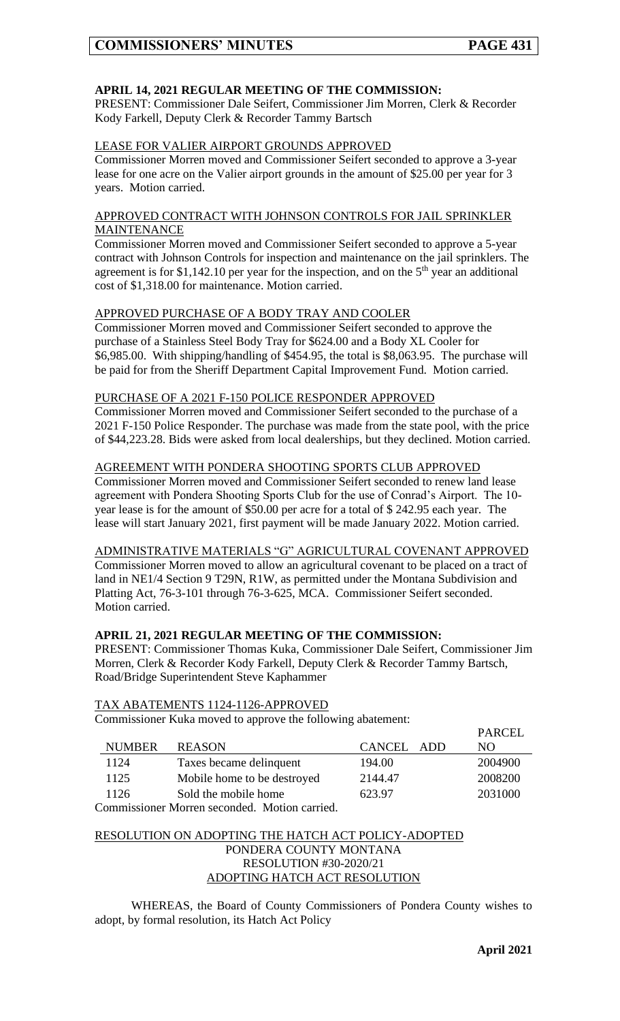# **APRIL 14, 2021 REGULAR MEETING OF THE COMMISSION:**

PRESENT: Commissioner Dale Seifert, Commissioner Jim Morren, Clerk & Recorder Kody Farkell, Deputy Clerk & Recorder Tammy Bartsch

### LEASE FOR VALIER AIRPORT GROUNDS APPROVED

Commissioner Morren moved and Commissioner Seifert seconded to approve a 3-year lease for one acre on the Valier airport grounds in the amount of \$25.00 per year for 3 years. Motion carried.

## APPROVED CONTRACT WITH JOHNSON CONTROLS FOR JAIL SPRINKLER **MAINTENANCE**

Commissioner Morren moved and Commissioner Seifert seconded to approve a 5-year contract with Johnson Controls for inspection and maintenance on the jail sprinklers. The agreement is for \$1,142.10 per year for the inspection, and on the  $5<sup>th</sup>$  year an additional cost of \$1,318.00 for maintenance. Motion carried.

#### APPROVED PURCHASE OF A BODY TRAY AND COOLER

Commissioner Morren moved and Commissioner Seifert seconded to approve the purchase of a Stainless Steel Body Tray for \$624.00 and a Body XL Cooler for \$6,985.00. With shipping/handling of \$454.95, the total is \$8,063.95. The purchase will be paid for from the Sheriff Department Capital Improvement Fund. Motion carried.

#### PURCHASE OF A 2021 F-150 POLICE RESPONDER APPROVED

Commissioner Morren moved and Commissioner Seifert seconded to the purchase of a 2021 F-150 Police Responder. The purchase was made from the state pool, with the price of \$44,223.28. Bids were asked from local dealerships, but they declined. Motion carried.

#### AGREEMENT WITH PONDERA SHOOTING SPORTS CLUB APPROVED

Commissioner Morren moved and Commissioner Seifert seconded to renew land lease agreement with Pondera Shooting Sports Club for the use of Conrad's Airport. The 10 year lease is for the amount of \$50.00 per acre for a total of \$ 242.95 each year. The lease will start January 2021, first payment will be made January 2022. Motion carried.

### ADMINISTRATIVE MATERIALS "G" AGRICULTURAL COVENANT APPROVED

Commissioner Morren moved to allow an agricultural covenant to be placed on a tract of land in NE1/4 Section 9 T29N, R1W, as permitted under the Montana Subdivision and Platting Act, 76-3-101 through 76-3-625, MCA. Commissioner Seifert seconded. Motion carried.

### **APRIL 21, 2021 REGULAR MEETING OF THE COMMISSION:**

PRESENT: Commissioner Thomas Kuka, Commissioner Dale Seifert, Commissioner Jim Morren, Clerk & Recorder Kody Farkell, Deputy Clerk & Recorder Tammy Bartsch, Road/Bridge Superintendent Steve Kaphammer

#### TAX ABATEMENTS 1124-1126-APPROVED

Commissioner Kuka moved to approve the following abatement:

|               |                             |            | <b>PARCEL</b> |
|---------------|-----------------------------|------------|---------------|
| <b>NUMBER</b> | <b>REASON</b>               | CANCEL ADD | NO.           |
| 1124          | Taxes became delinquent     | 194.00     | 2004900       |
| 1125          | Mobile home to be destroyed | 2144.47    | 2008200       |
| 1126          | Sold the mobile home        | 623.97     | 2031000       |
|               |                             |            |               |

Commissioner Morren seconded. Motion carried.

## RESOLUTION ON ADOPTING THE HATCH ACT POLICY-ADOPTED PONDERA COUNTY MONTANA RESOLUTION #30-2020/21 ADOPTING HATCH ACT RESOLUTION

WHEREAS, the Board of County Commissioners of Pondera County wishes to adopt, by formal resolution, its Hatch Act Policy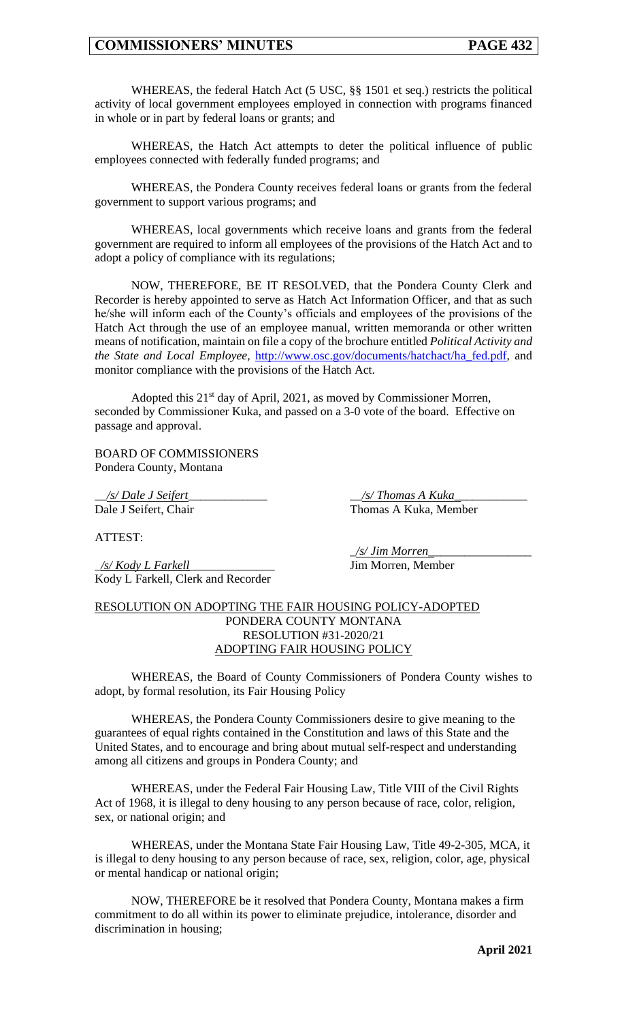WHEREAS, the federal Hatch Act (5 USC, §§ 1501 et seq.) restricts the political activity of local government employees employed in connection with programs financed in whole or in part by federal loans or grants; and

WHEREAS, the Hatch Act attempts to deter the political influence of public employees connected with federally funded programs; and

WHEREAS, the Pondera County receives federal loans or grants from the federal government to support various programs; and

WHEREAS, local governments which receive loans and grants from the federal government are required to inform all employees of the provisions of the Hatch Act and to adopt a policy of compliance with its regulations;

NOW, THEREFORE, BE IT RESOLVED, that the Pondera County Clerk and Recorder is hereby appointed to serve as Hatch Act Information Officer, and that as such he/she will inform each of the County's officials and employees of the provisions of the Hatch Act through the use of an employee manual, written memoranda or other written means of notification, maintain on file a copy of the brochure entitled *Political Activity and the State and Local Employee,* [http://www.osc.gov/documents/hatchact/ha\\_fed.pdf,](http://www.osc.gov/documents/hatchact/ha_fed.pdf) and monitor compliance with the provisions of the Hatch Act.

Adopted this 21<sup>st</sup> day of April, 2021, as moved by Commissioner Morren, seconded by Commissioner Kuka, and passed on a 3-0 vote of the board. Effective on passage and approval.

BOARD OF COMMISSIONERS Pondera County, Montana

\_\_*/s/ Dale J Seifert*\_\_\_\_\_\_\_\_\_\_\_\_\_ \_\_*/s/ Thomas A Kuka\_*\_\_\_\_\_\_\_\_\_\_\_ Dale J Seifert, Chair Thomas A Kuka, Member

ATTEST:

\_*/s/ Kody L Farkell*\_\_\_\_\_\_\_\_\_\_\_\_\_\_ Jim Morren, Member Kody L Farkell, Clerk and Recorder

\_*/s/ Jim Morren\_*\_\_\_\_\_\_\_\_\_\_\_\_\_\_\_\_

#### RESOLUTION ON ADOPTING THE FAIR HOUSING POLICY-ADOPTED PONDERA COUNTY MONTANA RESOLUTION #31-2020/21 ADOPTING FAIR HOUSING POLICY

WHEREAS, the Board of County Commissioners of Pondera County wishes to adopt, by formal resolution, its Fair Housing Policy

WHEREAS, the Pondera County Commissioners desire to give meaning to the guarantees of equal rights contained in the Constitution and laws of this State and the United States, and to encourage and bring about mutual self-respect and understanding among all citizens and groups in Pondera County; and

WHEREAS, under the Federal Fair Housing Law, Title VIII of the Civil Rights Act of 1968, it is illegal to deny housing to any person because of race, color, religion, sex, or national origin; and

WHEREAS, under the Montana State Fair Housing Law, Title 49-2-305, MCA, it is illegal to deny housing to any person because of race, sex, religion, color, age, physical or mental handicap or national origin;

NOW, THEREFORE be it resolved that Pondera County, Montana makes a firm commitment to do all within its power to eliminate prejudice, intolerance, disorder and discrimination in housing;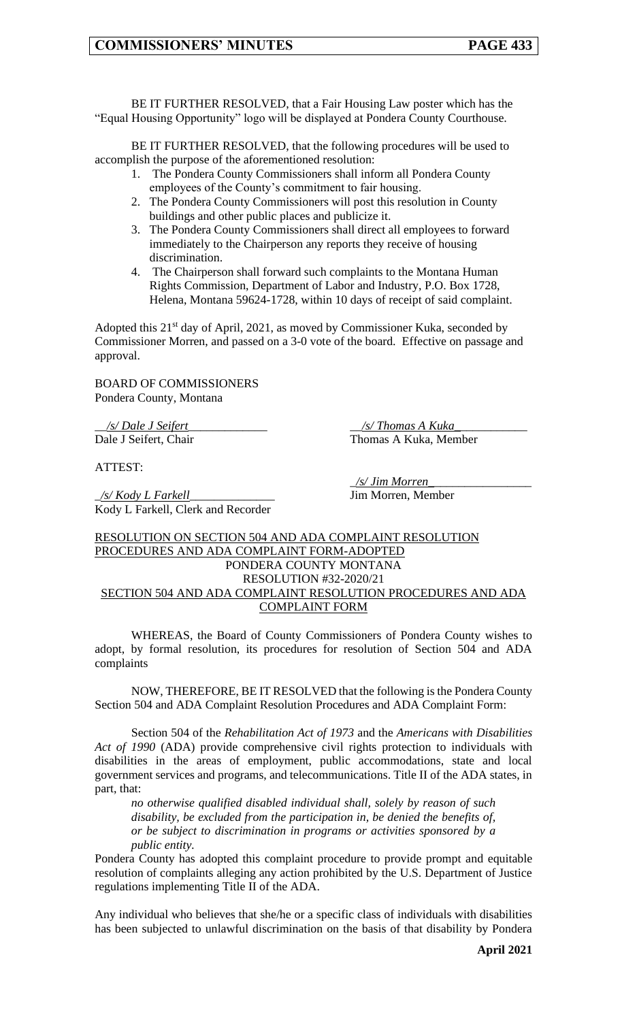BE IT FURTHER RESOLVED, that a Fair Housing Law poster which has the "Equal Housing Opportunity" logo will be displayed at Pondera County Courthouse.

BE IT FURTHER RESOLVED, that the following procedures will be used to accomplish the purpose of the aforementioned resolution:

- 1. The Pondera County Commissioners shall inform all Pondera County employees of the County's commitment to fair housing.
- 2. The Pondera County Commissioners will post this resolution in County buildings and other public places and publicize it.
- 3. The Pondera County Commissioners shall direct all employees to forward immediately to the Chairperson any reports they receive of housing discrimination.
- 4. The Chairperson shall forward such complaints to the Montana Human Rights Commission, Department of Labor and Industry, P.O. Box 1728, Helena, Montana 59624-1728, within 10 days of receipt of said complaint.

Adopted this 21<sup>st</sup> day of April, 2021, as moved by Commissioner Kuka, seconded by Commissioner Morren, and passed on a 3-0 vote of the board. Effective on passage and approval.

BOARD OF COMMISSIONERS Pondera County, Montana

\_\_*/s/ Dale J Seifert*\_\_\_\_\_\_\_\_\_\_\_\_\_ \_\_*/s/ Thomas A Kuka\_*\_\_\_\_\_\_\_\_\_\_\_ Dale J Seifert, Chair Thomas A Kuka, Member

ATTEST:

\_*/s/ Kody L Farkell*\_\_\_\_\_\_\_\_\_\_\_\_\_\_ Jim Morren, Member Kody L Farkell, Clerk and Recorder

\_*/s/ Jim Morren\_*\_\_\_\_\_\_\_\_\_\_\_\_\_\_\_\_

### RESOLUTION ON SECTION 504 AND ADA COMPLAINT RESOLUTION PROCEDURES AND ADA COMPLAINT FORM-ADOPTED PONDERA COUNTY MONTANA RESOLUTION #32-2020/21 SECTION 504 AND ADA COMPLAINT RESOLUTION PROCEDURES AND ADA COMPLAINT FORM

WHEREAS, the Board of County Commissioners of Pondera County wishes to adopt, by formal resolution, its procedures for resolution of Section 504 and ADA complaints

NOW, THEREFORE, BE IT RESOLVED that the following is the Pondera County Section 504 and ADA Complaint Resolution Procedures and ADA Complaint Form:

Section 504 of the *Rehabilitation Act of 1973* and the *Americans with Disabilities Act of 1990* (ADA) provide comprehensive civil rights protection to individuals with disabilities in the areas of employment, public accommodations, state and local government services and programs, and telecommunications. Title II of the ADA states, in part, that:

*no otherwise qualified disabled individual shall, solely by reason of such disability, be excluded from the participation in, be denied the benefits of, or be subject to discrimination in programs or activities sponsored by a public entity.*

Pondera County has adopted this complaint procedure to provide prompt and equitable resolution of complaints alleging any action prohibited by the U.S. Department of Justice regulations implementing Title II of the ADA.

Any individual who believes that she/he or a specific class of individuals with disabilities has been subjected to unlawful discrimination on the basis of that disability by Pondera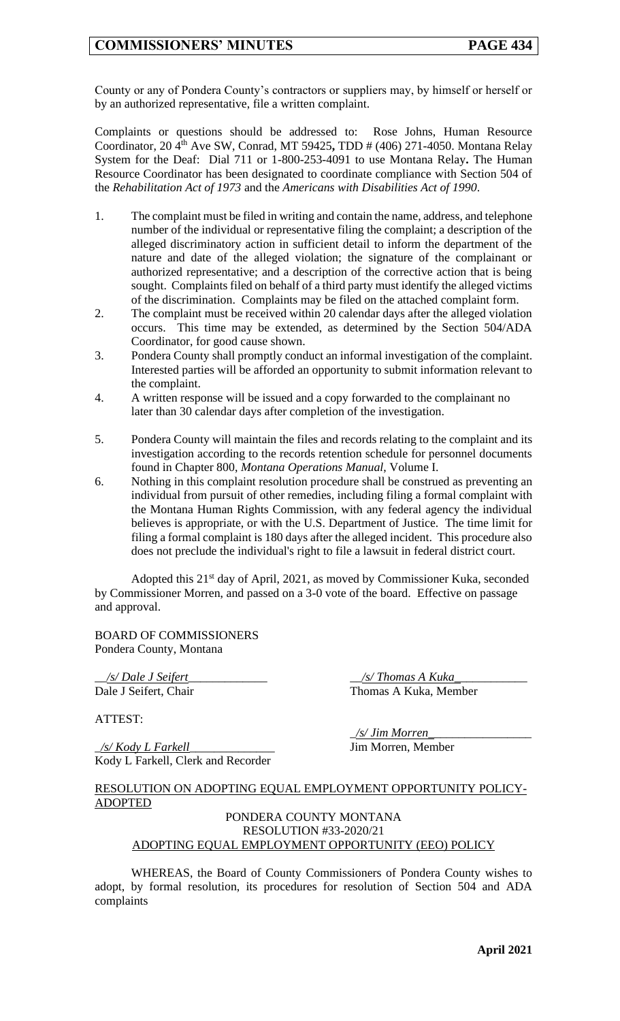County or any of Pondera County's contractors or suppliers may, by himself or herself or by an authorized representative, file a written complaint.

Complaints or questions should be addressed to:Rose Johns, Human Resource Coordinator, 20 4th Ave SW, Conrad, MT 59425**,** TDD # (406) 271-4050. Montana Relay System for the Deaf: Dial 711 or 1-800-253-4091 to use Montana Relay**.** The Human Resource Coordinator has been designated to coordinate compliance with Section 504 of the *Rehabilitation Act of 1973* and the *Americans with Disabilities Act of 1990*.

- 1. The complaint must be filed in writing and contain the name, address, and telephone number of the individual or representative filing the complaint; a description of the alleged discriminatory action in sufficient detail to inform the department of the nature and date of the alleged violation; the signature of the complainant or authorized representative; and a description of the corrective action that is being sought. Complaints filed on behalf of a third party must identify the alleged victims of the discrimination. Complaints may be filed on the attached complaint form.
- 2. The complaint must be received within 20 calendar days after the alleged violation occurs. This time may be extended, as determined by the Section 504/ADA Coordinator, for good cause shown.
- 3. Pondera County shall promptly conduct an informal investigation of the complaint. Interested parties will be afforded an opportunity to submit information relevant to the complaint.
- 4. A written response will be issued and a copy forwarded to the complainant no later than 30 calendar days after completion of the investigation.
- 5. Pondera County will maintain the files and records relating to the complaint and its investigation according to the records retention schedule for personnel documents found in Chapter 800, *Montana Operations Manual*, Volume I.
- 6. Nothing in this complaint resolution procedure shall be construed as preventing an individual from pursuit of other remedies, including filing a formal complaint with the Montana Human Rights Commission, with any federal agency the individual believes is appropriate, or with the U.S. Department of Justice. The time limit for filing a formal complaint is 180 days after the alleged incident. This procedure also does not preclude the individual's right to file a lawsuit in federal district court.

Adopted this 21<sup>st</sup> day of April, 2021, as moved by Commissioner Kuka, seconded by Commissioner Morren, and passed on a 3-0 vote of the board. Effective on passage and approval.

BOARD OF COMMISSIONERS Pondera County, Montana

\_\_*/s/ Dale J Seifert*\_\_\_\_\_\_\_\_\_\_\_\_\_ \_\_*/s/ Thomas A Kuka\_*\_\_\_\_\_\_\_\_\_\_\_

ATTEST:

\_*/s/ Kody L Farkell*\_\_\_\_\_\_\_\_\_\_\_\_\_\_ Jim Morren, Member Kody L Farkell, Clerk and Recorder

Dale J Seifert, Chair Thomas A Kuka, Member

\_*/s/ Jim Morren\_*\_\_\_\_\_\_\_\_\_\_\_\_\_\_\_\_

### RESOLUTION ON ADOPTING EQUAL EMPLOYMENT OPPORTUNITY POLICY-ADOPTED

#### PONDERA COUNTY MONTANA RESOLUTION #33-2020/21 ADOPTING EQUAL EMPLOYMENT OPPORTUNITY (EEO) POLICY

WHEREAS, the Board of County Commissioners of Pondera County wishes to adopt, by formal resolution, its procedures for resolution of Section 504 and ADA complaints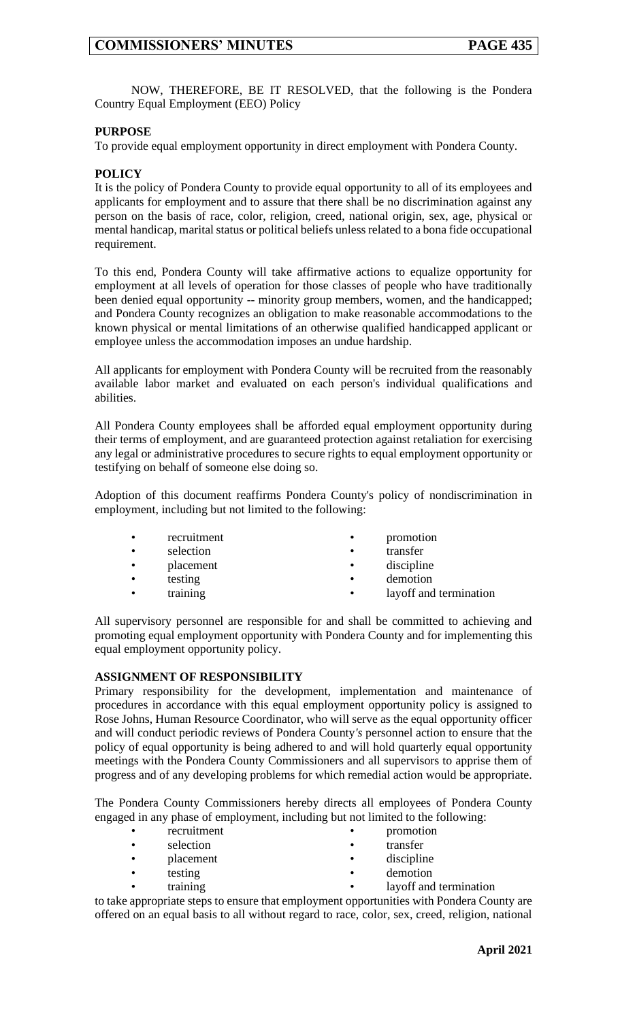NOW, THEREFORE, BE IT RESOLVED, that the following is the Pondera Country Equal Employment (EEO) Policy

## **PURPOSE**

To provide equal employment opportunity in direct employment with Pondera County.

## **POLICY**

It is the policy of Pondera County to provide equal opportunity to all of its employees and applicants for employment and to assure that there shall be no discrimination against any person on the basis of race, color, religion, creed, national origin, sex, age, physical or mental handicap, marital status or political beliefs unless related to a bona fide occupational requirement.

To this end, Pondera County will take affirmative actions to equalize opportunity for employment at all levels of operation for those classes of people who have traditionally been denied equal opportunity -- minority group members, women, and the handicapped; and Pondera County recognizes an obligation to make reasonable accommodations to the known physical or mental limitations of an otherwise qualified handicapped applicant or employee unless the accommodation imposes an undue hardship.

All applicants for employment with Pondera County will be recruited from the reasonably available labor market and evaluated on each person's individual qualifications and abilities.

All Pondera County employees shall be afforded equal employment opportunity during their terms of employment, and are guaranteed protection against retaliation for exercising any legal or administrative procedures to secure rights to equal employment opportunity or testifying on behalf of someone else doing so.

Adoption of this document reaffirms Pondera County's policy of nondiscrimination in employment, including but not limited to the following:

- 
- selection transfer
- placement discipline
- -
- recruitment promotion
	-
	-
- testing demotion
	- training **•** layoff and termination

All supervisory personnel are responsible for and shall be committed to achieving and promoting equal employment opportunity with Pondera County and for implementing this equal employment opportunity policy.

### **ASSIGNMENT OF RESPONSIBILITY**

Primary responsibility for the development, implementation and maintenance of procedures in accordance with this equal employment opportunity policy is assigned to Rose Johns, Human Resource Coordinator, who will serve as the equal opportunity officer and will conduct periodic reviews of Pondera County*'s* personnel action to ensure that the policy of equal opportunity is being adhered to and will hold quarterly equal opportunity meetings with the Pondera County Commissioners and all supervisors to apprise them of progress and of any developing problems for which remedial action would be appropriate.

The Pondera County Commissioners hereby directs all employees of Pondera County engaged in any phase of employment, including but not limited to the following:

- recruitment promotion
- selection transfer
- 
- placement discipline
- testing demotion
- training **•** layoff and termination
	-

to take appropriate steps to ensure that employment opportunities with Pondera County are offered on an equal basis to all without regard to race, color, sex, creed, religion, national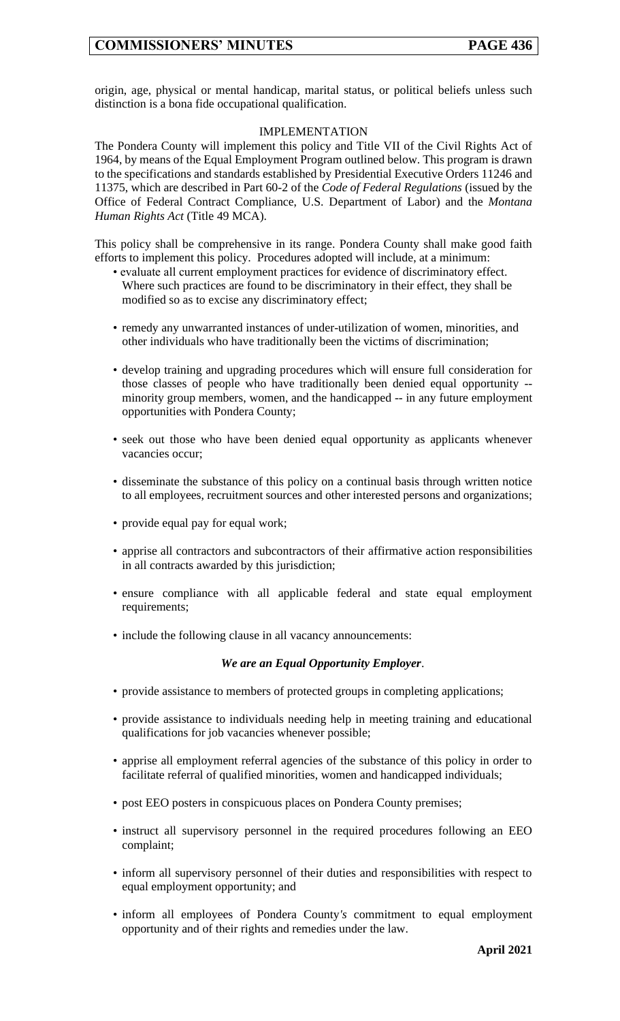origin, age, physical or mental handicap, marital status, or political beliefs unless such distinction is a bona fide occupational qualification.

## IMPLEMENTATION

The Pondera County will implement this policy and Title VII of the Civil Rights Act of 1964, by means of the Equal Employment Program outlined below. This program is drawn to the specifications and standards established by Presidential Executive Orders 11246 and 11375, which are described in Part 60-2 of the *Code of Federal Regulations* (issued by the Office of Federal Contract Compliance, U.S. Department of Labor) and the *Montana Human Rights Act* (Title 49 MCA).

This policy shall be comprehensive in its range. Pondera County shall make good faith efforts to implement this policy. Procedures adopted will include, at a minimum:

- evaluate all current employment practices for evidence of discriminatory effect. Where such practices are found to be discriminatory in their effect, they shall be modified so as to excise any discriminatory effect;
- remedy any unwarranted instances of under-utilization of women, minorities, and other individuals who have traditionally been the victims of discrimination;
- develop training and upgrading procedures which will ensure full consideration for those classes of people who have traditionally been denied equal opportunity - minority group members, women, and the handicapped -- in any future employment opportunities with Pondera County;
- seek out those who have been denied equal opportunity as applicants whenever vacancies occur;
- disseminate the substance of this policy on a continual basis through written notice to all employees, recruitment sources and other interested persons and organizations;
- provide equal pay for equal work;
- apprise all contractors and subcontractors of their affirmative action responsibilities in all contracts awarded by this jurisdiction;
- ensure compliance with all applicable federal and state equal employment requirements;
- include the following clause in all vacancy announcements:

### *We are an Equal Opportunity Employer*.

- provide assistance to members of protected groups in completing applications;
- provide assistance to individuals needing help in meeting training and educational qualifications for job vacancies whenever possible;
- apprise all employment referral agencies of the substance of this policy in order to facilitate referral of qualified minorities, women and handicapped individuals;
- post EEO posters in conspicuous places on Pondera County premises;
- instruct all supervisory personnel in the required procedures following an EEO complaint;
- inform all supervisory personnel of their duties and responsibilities with respect to equal employment opportunity; and
- inform all employees of Pondera County*'s* commitment to equal employment opportunity and of their rights and remedies under the law.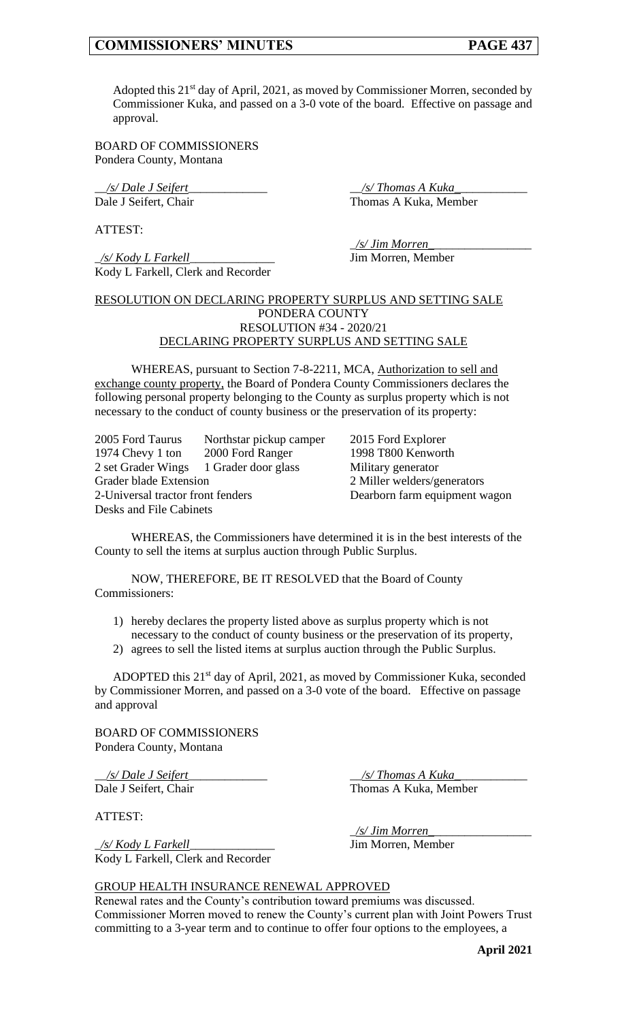Adopted this  $21^{st}$  day of April, 2021, as moved by Commissioner Morren, seconded by Commissioner Kuka, and passed on a 3-0 vote of the board. Effective on passage and approval.

BOARD OF COMMISSIONERS Pondera County, Montana

\_\_*/s/ Dale J Seifert*\_\_\_\_\_\_\_\_\_\_\_\_\_ \_\_*/s/ Thomas A Kuka\_*\_\_\_\_\_\_\_\_\_\_\_

Dale J Seifert, Chair Thomas A Kuka, Member

ATTEST:

\_*/s/ Kody L Farkell*\_\_\_\_\_\_\_\_\_\_\_\_\_\_ Jim Morren, Member Kody L Farkell, Clerk and Recorder

\_*/s/ Jim Morren\_*\_\_\_\_\_\_\_\_\_\_\_\_\_\_\_\_

#### RESOLUTION ON DECLARING PROPERTY SURPLUS AND SETTING SALE PONDERA COUNTY RESOLUTION #34 - 2020/21 DECLARING PROPERTY SURPLUS AND SETTING SALE

WHEREAS, pursuant to Section 7-8-2211, MCA, Authorization to sell and exchange county property, the Board of Pondera County Commissioners declares the following personal property belonging to the County as surplus property which is not necessary to the conduct of county business or the preservation of its property:

2005 Ford Taurus Northstar pickup camper 2015 Ford Explorer 1974 Chevy 1 ton 2000 Ford Ranger 1998 T800 Kenworth 2 set Grader Wings 1 Grader door glass Military generator Grader blade Extension 2 Miller welders/generators 2-Universal tractor front fenders Dearborn farm equipment wagon Desks and File Cabinets

WHEREAS, the Commissioners have determined it is in the best interests of the County to sell the items at surplus auction through Public Surplus.

NOW, THEREFORE, BE IT RESOLVED that the Board of County Commissioners:

- 1) hereby declares the property listed above as surplus property which is not necessary to the conduct of county business or the preservation of its property,
- 2) agrees to sell the listed items at surplus auction through the Public Surplus.

ADOPTED this 21<sup>st</sup> day of April, 2021, as moved by Commissioner Kuka, seconded by Commissioner Morren, and passed on a 3-0 vote of the board. Effective on passage and approval

BOARD OF COMMISSIONERS Pondera County, Montana

\_\_*/s/ Dale J Seifert*\_\_\_\_\_\_\_\_\_\_\_\_\_ \_\_*/s/ Thomas A Kuka\_*\_\_\_\_\_\_\_\_\_\_\_ Dale J Seifert, Chair Thomas A Kuka, Member

ATTEST:

Kody L Farkell, Clerk and Recorder

\_*/s/ Jim Morren\_*\_\_\_\_\_\_\_\_\_\_\_\_\_\_\_\_ \_*/s/ Kody L Farkell*\_\_\_\_\_\_\_\_\_\_\_\_\_\_ Jim Morren, Member

### GROUP HEALTH INSURANCE RENEWAL APPROVED

Renewal rates and the County's contribution toward premiums was discussed. Commissioner Morren moved to renew the County's current plan with Joint Powers Trust committing to a 3-year term and to continue to offer four options to the employees, a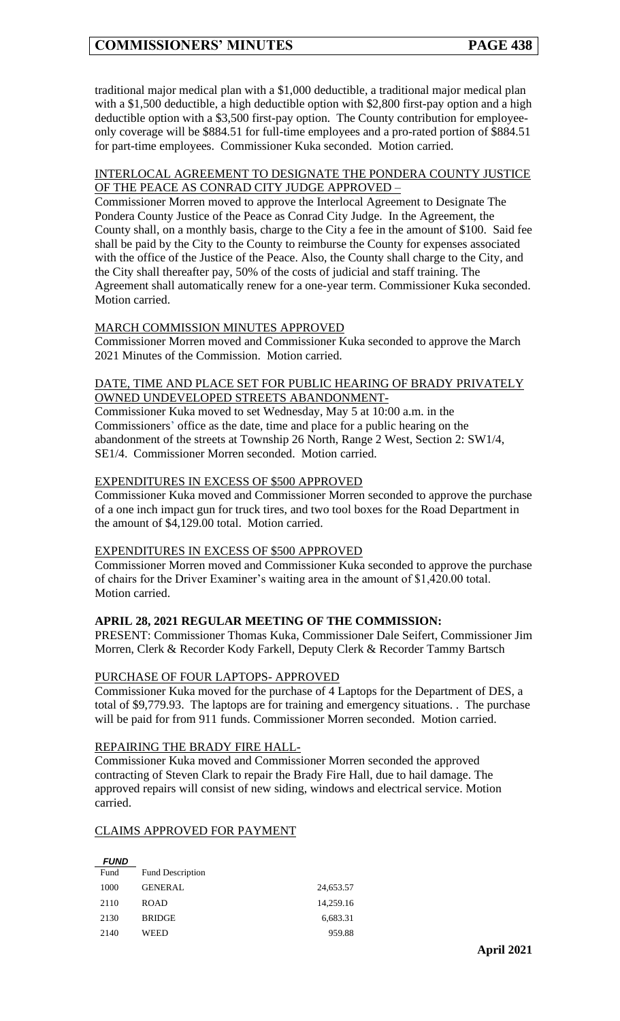traditional major medical plan with a \$1,000 deductible, a traditional major medical plan with a \$1,500 deductible, a high deductible option with \$2,800 first-pay option and a high deductible option with a \$3,500 first-pay option. The County contribution for employeeonly coverage will be \$884.51 for full-time employees and a pro-rated portion of \$884.51 for part-time employees. Commissioner Kuka seconded. Motion carried.

#### INTERLOCAL AGREEMENT TO DESIGNATE THE PONDERA COUNTY JUSTICE OF THE PEACE AS CONRAD CITY JUDGE APPROVED –

Commissioner Morren moved to approve the Interlocal Agreement to Designate The Pondera County Justice of the Peace as Conrad City Judge. In the Agreement, the County shall, on a monthly basis, charge to the City a fee in the amount of \$100. Said fee shall be paid by the City to the County to reimburse the County for expenses associated with the office of the Justice of the Peace. Also, the County shall charge to the City, and the City shall thereafter pay, 50% of the costs of judicial and staff training. The Agreement shall automatically renew for a one-year term. Commissioner Kuka seconded. Motion carried.

### MARCH COMMISSION MINUTES APPROVED

Commissioner Morren moved and Commissioner Kuka seconded to approve the March 2021 Minutes of the Commission. Motion carried.

#### DATE, TIME AND PLACE SET FOR PUBLIC HEARING OF BRADY PRIVATELY OWNED UNDEVELOPED STREETS ABANDONMENT-

Commissioner Kuka moved to set Wednesday, May 5 at 10:00 a.m. in the Commissioners' office as the date, time and place for a public hearing on the abandonment of the streets at Township 26 North, Range 2 West, Section 2: SW1/4, SE1/4. Commissioner Morren seconded. Motion carried.

### EXPENDITURES IN EXCESS OF \$500 APPROVED

Commissioner Kuka moved and Commissioner Morren seconded to approve the purchase of a one inch impact gun for truck tires, and two tool boxes for the Road Department in the amount of \$4,129.00 total. Motion carried.

### EXPENDITURES IN EXCESS OF \$500 APPROVED

Commissioner Morren moved and Commissioner Kuka seconded to approve the purchase of chairs for the Driver Examiner's waiting area in the amount of \$1,420.00 total. Motion carried.

# **APRIL 28, 2021 REGULAR MEETING OF THE COMMISSION:**

PRESENT: Commissioner Thomas Kuka, Commissioner Dale Seifert, Commissioner Jim Morren, Clerk & Recorder Kody Farkell, Deputy Clerk & Recorder Tammy Bartsch

### PURCHASE OF FOUR LAPTOPS- APPROVED

Commissioner Kuka moved for the purchase of 4 Laptops for the Department of DES, a total of \$9,779.93. The laptops are for training and emergency situations. . The purchase will be paid for from 911 funds. Commissioner Morren seconded. Motion carried.

# REPAIRING THE BRADY FIRE HALL-

Commissioner Kuka moved and Commissioner Morren seconded the approved contracting of Steven Clark to repair the Brady Fire Hall, due to hail damage. The approved repairs will consist of new siding, windows and electrical service. Motion carried.

### CLAIMS APPROVED FOR PAYMENT

| <b>FUND</b> |                         |           |
|-------------|-------------------------|-----------|
| Fund        | <b>Fund Description</b> |           |
| 1000        | <b>GENERAL</b>          | 24,653.57 |
| 2110        | <b>ROAD</b>             | 14,259.16 |
| 2130        | <b>BRIDGE</b>           | 6,683.31  |
| 2140        | WEED                    | 959.88    |